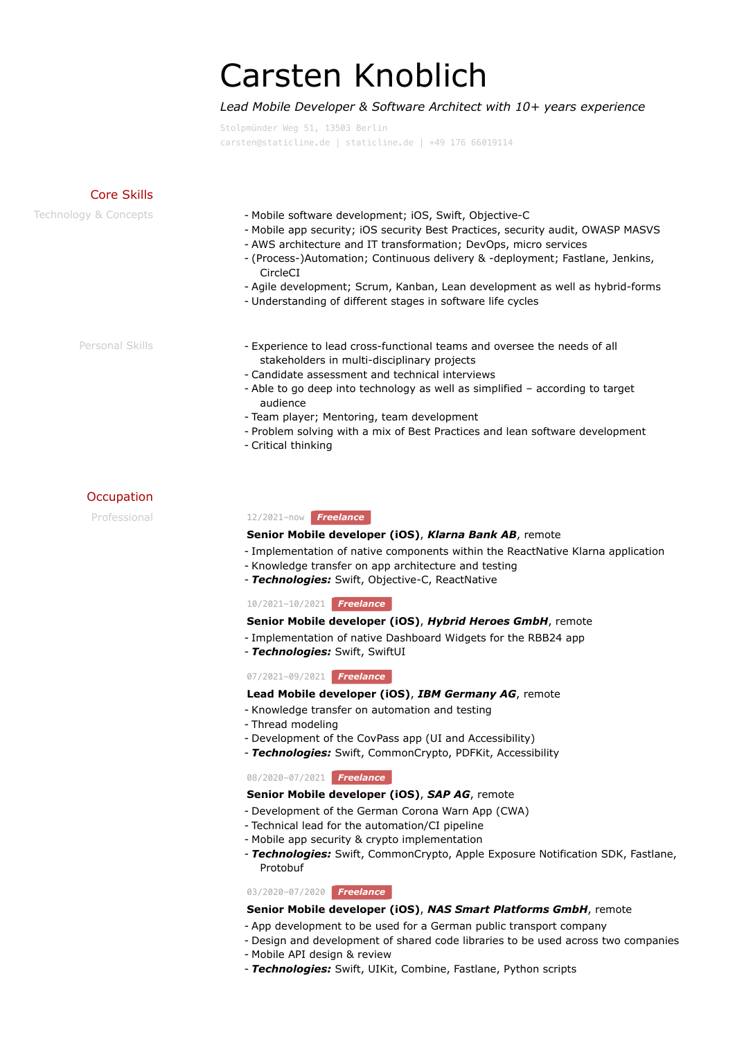# Carsten Knoblich

# *Lead Mobile Developer & Software Architect with 10+ years experience*

Stolpmünder Weg 51, 13503 Berlin [carsten@staticline.de](mailto:carsten@staticline.de) | [staticline.de](https://staticline.de/?pk_campaign=cv&pk_kwd=cv&pk_source=cv) | [+49 176 66019114](tel:+4917666019114)

| Core Skills           |                                                                                                                                                                                                                                                                                                                                                                                                                                                           |
|-----------------------|-----------------------------------------------------------------------------------------------------------------------------------------------------------------------------------------------------------------------------------------------------------------------------------------------------------------------------------------------------------------------------------------------------------------------------------------------------------|
| Technology & Concepts | - Mobile software development; iOS, Swift, Objective-C<br>- Mobile app security; iOS security Best Practices, security audit, OWASP MASVS<br>- AWS architecture and IT transformation; DevOps, micro services<br>- (Process-)Automation; Continuous delivery & -deployment; Fastlane, Jenkins,<br>CircleCI<br>- Agile development; Scrum, Kanban, Lean development as well as hybrid-forms<br>- Understanding of different stages in software life cycles |
| Personal Skills       | - Experience to lead cross-functional teams and oversee the needs of all<br>stakeholders in multi-disciplinary projects<br>- Candidate assessment and technical interviews<br>- Able to go deep into technology as well as simplified – according to target<br>audience                                                                                                                                                                                   |

- Team player; Mentoring, team development
- Problem solving with a mix of Best Practices and lean software development
- Critical thinking

# **Occupation**

# Professional 12/2021-now *Freelance*

# **Senior Mobile developer (iOS)**, *Klarna Bank AB*, remote

- Implementation of native components within the ReactNative Klarna application
- Knowledge transfer on app architecture and testing
- Technologies: Swift, Objective-C, ReactNative

# 10/2021-10/2021 *Freelance*

# **Senior Mobile developer (iOS)**, *Hybrid Heroes GmbH*, remote

- Implementation of native Dashboard Widgets for the RBB24 app
- *Technologies:* Swift, SwiftUI -

# 07/2021-09/2021 *Freelance*

# **Lead Mobile developer (iOS)**, *IBM Germany AG*, remote

- Knowledge transfer on automation and testing
- Thread modeling -
- Development of the CovPass app (UI and Accessibility)
- *Technologies:* Swift, CommonCrypto, PDFKit, Accessibility -

# 08/2020-07/2021 *Freelance*

# **Senior Mobile developer (iOS)**, *SAP AG*, remote

- Development of the German Corona Warn App (CWA)
- Technical lead for the automation/CI pipeline -
- Mobile app security & crypto implementation
- *Technologies:* Swift, CommonCrypto, Apple Exposure Notification SDK, Fastlane, Protobuf

# 03/2020-07/2020 *Freelance*

# **Senior Mobile developer (iOS)**, *NAS Smart Platforms GmbH*, remote

- App development to be used for a German public transport company -
- Design and development of shared code libraries to be used across two companies -
- Mobile API design & review -
- *Technologies:* Swift, UIKit, Combine, Fastlane, Python scripts -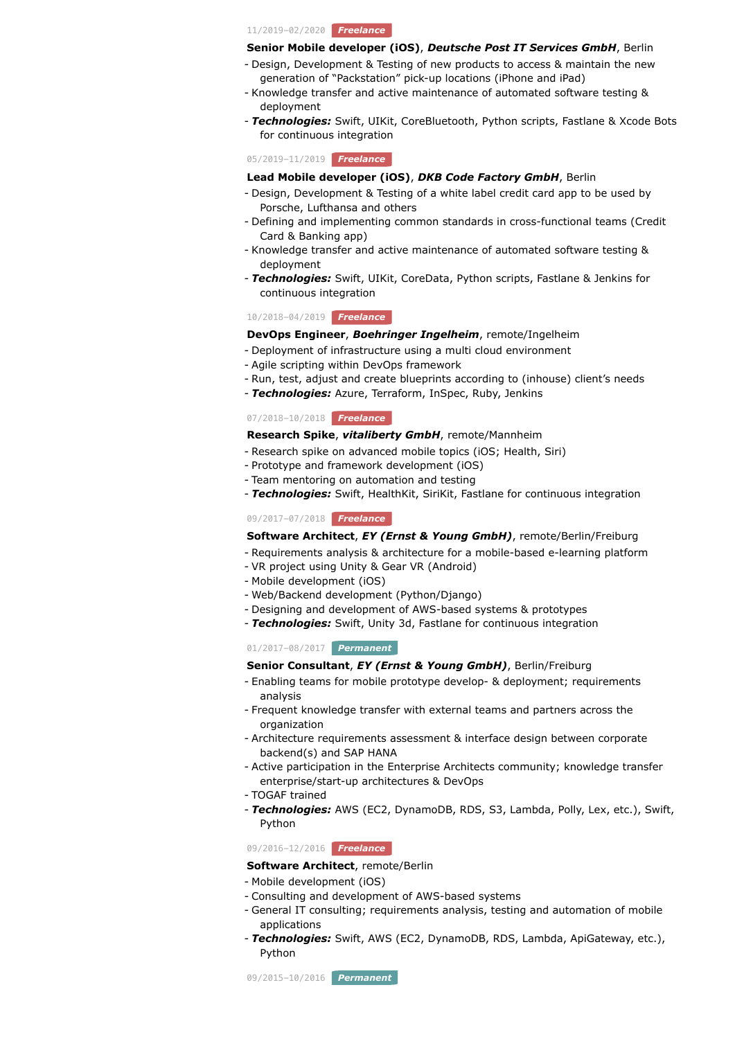11/2019-02/2020 *Freelance*

#### **Senior Mobile developer (iOS)**, *Deutsche Post IT Services GmbH*, Berlin

- Design, Development & Testing of new products to access & maintain the new generation of "Packstation" pick-up locations (iPhone and iPad)
- Knowledge transfer and active maintenance of automated software testing & deployment
- Technologies: Swift, UIKit, CoreBluetooth, Python scripts, Fastlane & Xcode Bots for continuous integration

05/2019-11/2019 *Freelance*

## **Lead Mobile developer (iOS)**, *DKB Code Factory GmbH*, Berlin

- Design, Development & Testing of a white label credit card app to be used by Porsche, Lufthansa and others
- Defining and implementing common standards in cross-functional teams (Credit Card & Banking app)
- Knowledge transfer and active maintenance of automated software testing & deployment
- *Technologies:* Swift, UIKit, CoreData, Python scripts, Fastlane & Jenkins for continuous integration

## 10/2018-04/2019 *Freelance*

#### **DevOps Engineer**, *Boehringer Ingelheim*, remote/Ingelheim

- Deployment of infrastructure using a multi cloud environment -
- Agile scripting within DevOps framework -
- Run, test, adjust and create blueprints according to (inhouse) client's needs
- *Technologies:* Azure, Terraform, InSpec, Ruby, Jenkins -

#### 07/2018-10/2018 *Freelance*

# **Research Spike**, *vitaliberty GmbH*, remote/Mannheim

- Research spike on advanced mobile topics (iOS; Health, Siri) -
- Prototype and framework development (iOS)
- Team mentoring on automation and testing -
- *Technologies:* Swift, HealthKit, SiriKit, Fastlane for continuous integration -

# 09/2017-07/2018 *Freelance*

#### **Software Architect**, *EY (Ernst & Young GmbH)*, remote/Berlin/Freiburg

- Requirements analysis & architecture for a mobile-based e-learning platform
- VR project using Unity & Gear VR (Android) -
- Mobile development (iOS) -
- Web/Backend development (Python/Django) -
- Designing and development of AWS-based systems & prototypes -
- *Technologies:* Swift, Unity 3d, Fastlane for continuous integration -

#### 01/2017-08/2017 *Permanent*

## **Senior Consultant**, *EY (Ernst & Young GmbH)*, Berlin/Freiburg

- Enabling teams for mobile prototype develop- & deployment; requirements analysis
- Frequent knowledge transfer with external teams and partners across the organization
- Architecture requirements assessment & interface design between corporate backend(s) and SAP HANA
- Active participation in the Enterprise Architects community; knowledge transfer enterprise/start-up architectures & DevOps
- TOGAF trained -
- *Technologies:* AWS (EC2, DynamoDB, RDS, S3, Lambda, Polly, Lex, etc.), Swift, Python

09/2016-12/2016 *Freelance*

- **Software Architect**, remote/Berlin
- Mobile development (iOS) -
- Consulting and development of AWS-based systems -
- General IT consulting; requirements analysis, testing and automation of mobile applications
- *Technologies:* Swift, AWS (EC2, DynamoDB, RDS, Lambda, ApiGateway, etc.), Python

09/2015-10/2016 *Permanent*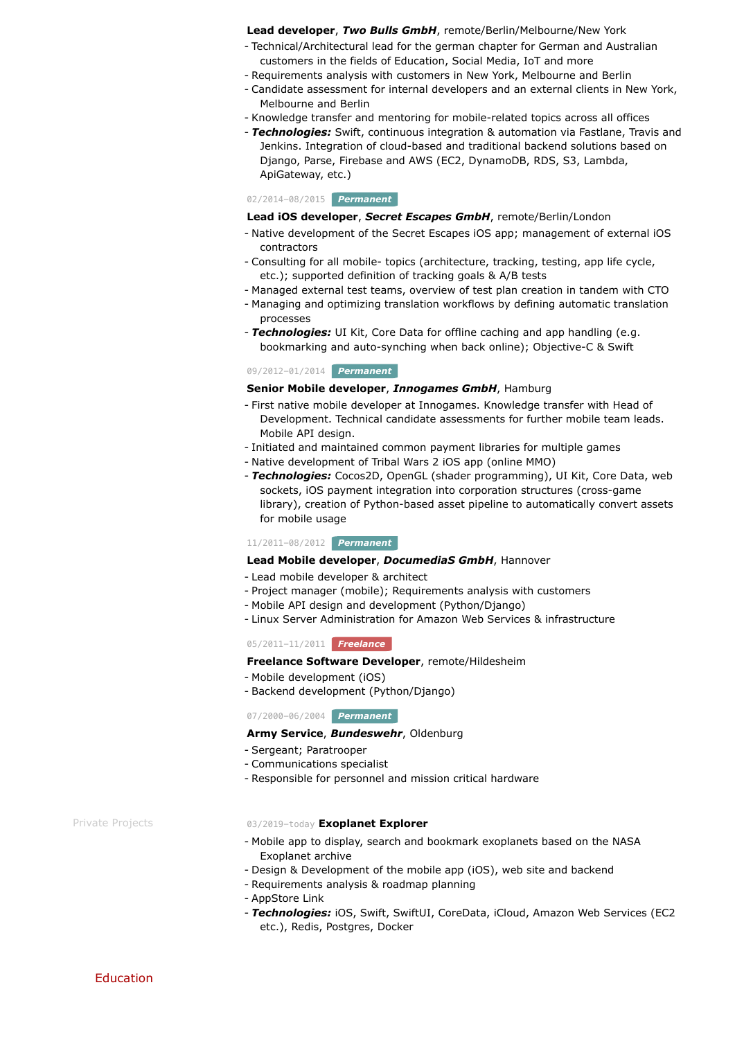#### **Lead developer**, *Two Bulls GmbH*, remote/Berlin/Melbourne/New York

- Technical/Architectural lead for the german chapter for German and Australian customers in the fields of Education, Social Media, IoT and more
- Requirements analysis with customers in New York, Melbourne and Berlin
- Candidate assessment for internal developers and an external clients in New York, Melbourne and Berlin
- Knowledge transfer and mentoring for mobile-related topics across all offices -
- *Technologies:* Swift, continuous integration & automation via Fastlane, Travis and Jenkins. Integration of cloud-based and traditional backend solutions based on Django, Parse, Firebase and AWS (EC2, DynamoDB, RDS, S3, Lambda, ApiGateway, etc.)

# 02/2014-08/2015 *Permanent*

#### **Lead iOS developer**, *Secret Escapes GmbH*, remote/Berlin/London

- Native development of the Secret Escapes iOS app; management of external iOS contractors
- Consulting for all mobile- topics (architecture, tracking, testing, app life cycle, etc.); supported definition of tracking goals & A/B tests
- Managed external test teams, overview of test plan creation in tandem with CTO -
- Managing and optimizing translation workflows by defining automatic translation processes
- *Technologies:* UI Kit, Core Data for offline caching and app handling (e.g. bookmarking and auto-synching when back online); Objective-C & Swift

## 09/2012-01/2014 *Permanent*

# **Senior Mobile developer**, *Innogames GmbH*, Hamburg

- First native mobile developer at Innogames. Knowledge transfer with Head of Development. Technical candidate assessments for further mobile team leads. Mobile API design.
- Initiated and maintained common payment libraries for multiple games
- Native development of [Tribal Wars 2](https://en.tribalwars2.com/page#/) iOS app (online MMO) -
- *Technologies:* Cocos2D, OpenGL (shader programming), UI Kit, Core Data, web sockets, iOS payment integration into corporation structures (cross-game library), creation of Python-based asset pipeline to automatically convert assets for mobile usage

#### 11/2011-08/2012 *Permanent*

# **Lead Mobile developer**, *DocumediaS GmbH*, Hannover

- Lead mobile developer & architect -
- Project manager (mobile); Requirements analysis with customers
- Mobile API design and development (Python/Django) -
- Linux Server Administration for Amazon Web Services & infrastructure -

# 05/2011-11/2011 *Freelance*

## **Freelance Software Developer**, remote/Hildesheim

- Mobile development (iOS) -
- Backend development (Python/Django)

#### 07/2000-06/2004 *Permanent*

# **Army Service**, *Bundeswehr*, Oldenburg

- Sergeant; Paratrooper
- Communications specialist -
- Responsible for personnel and mission critical hardware -

#### Private Projects 03/2019-today **[Exoplanet Explorer](https://the-exoplanets.space/?pk_campaign=cv&pk_kwd=cv&pk_source=cv)**

- M[obile app to display, search and bookmark exoplanets based on the NASA](https://exoplanetarchive.ipac.caltech.edu/index.html) Exoplanet archive
- Design & Development of the mobile app (iOS), web site and backend
- Requirements analysis & roadmap planning
- [AppStore Link](https://apps.apple.com/us/app/exoplanet-explorer/id1457614833?ls=1) -
- Technologies: iOS, Swift, SwiftUI, CoreData, iCloud, Amazon Web Services (EC2 etc.), Redis, Postgres, Docker